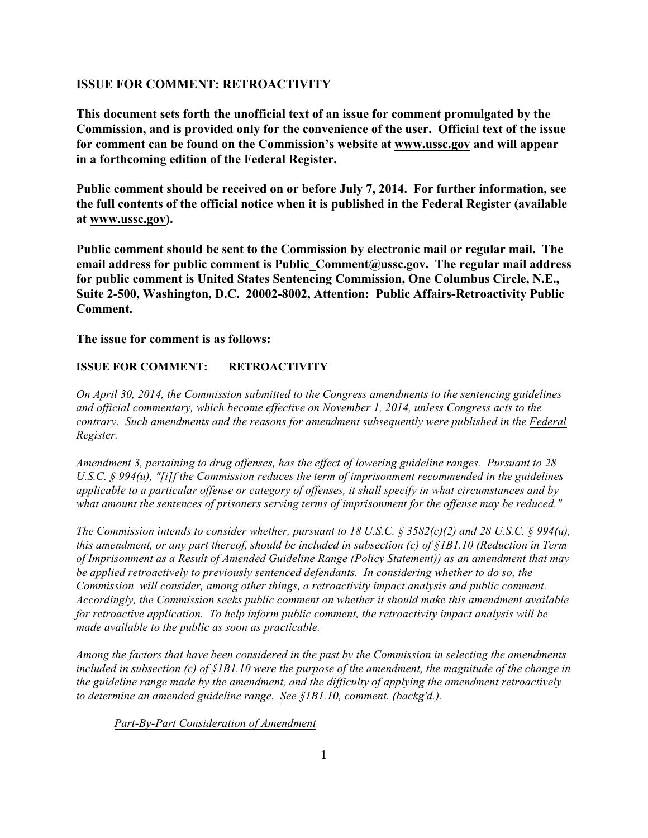# **ISSUE FOR COMMENT: RETROACTIVITY**

**This document sets forth the unofficial text of an issue for comment promulgated by the Commission, and is provided only for the convenience of the user. Official text of the issue for comment can be found on the Commission's website at www.ussc.gov and will appear in a forthcoming edition of the Federal Register.**

**Public comment should be received on or before July 7, 2014. For further information, see the full contents of the official notice when it is published in the Federal Register (available at www.ussc.gov).**

**Public comment should be sent to the Commission by electronic mail or regular mail. The email address for public comment is Public\_Comment@ussc.gov. The regular mail address for public comment is United States Sentencing Commission, One Columbus Circle, N.E., Suite 2-500, Washington, D.C. 20002-8002, Attention: Public Affairs-Retroactivity Public Comment.**

### **The issue for comment is as follows:**

# **ISSUE FOR COMMENT: RETROACTIVITY**

*On April 30, 2014, the Commission submitted to the Congress amendments to the sentencing guidelines and official commentary, which become effective on November 1, 2014, unless Congress acts to the contrary. Such amendments and the reasons for amendment subsequently were published in the Federal Register.*

*Amendment 3, pertaining to drug offenses, has the effect of lowering guideline ranges. Pursuant to 28 U.S.C. § 994(u), "[i]f the Commission reduces the term of imprisonment recommended in the guidelines applicable to a particular offense or category of offenses, it shall specify in what circumstances and by what amount the sentences of prisoners serving terms of imprisonment for the offense may be reduced."* 

*The Commission intends to consider whether, pursuant to 18 U.S.C. § 3582(c)(2) and 28 U.S.C. § 994(u), this amendment, or any part thereof, should be included in subsection (c) of §1B1.10 (Reduction in Term of Imprisonment as a Result of Amended Guideline Range (Policy Statement)) as an amendment that may be applied retroactively to previously sentenced defendants. In considering whether to do so, the Commission will consider, among other things, a retroactivity impact analysis and public comment. Accordingly, the Commission seeks public comment on whether it should make this amendment available for retroactive application. To help inform public comment, the retroactivity impact analysis will be made available to the public as soon as practicable.*

*Among the factors that have been considered in the past by the Commission in selecting the amendments included in subsection (c) of §1B1.10 were the purpose of the amendment, the magnitude of the change in the guideline range made by the amendment, and the difficulty of applying the amendment retroactively to determine an amended guideline range. See §1B1.10, comment. (backg'd.).*

#### *Part-By-Part Consideration of Amendment*